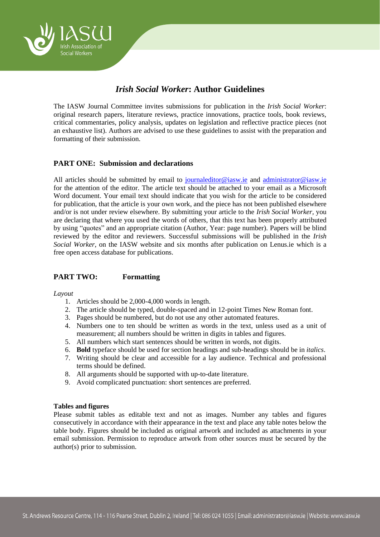

# *Irish Social Worker***: Author Guidelines**

The IASW Journal Committee invites submissions for publication in the *Irish Social Worker*: original research papers, literature reviews, practice innovations, practice tools, book reviews, critical commentaries, policy analysis, updates on legislation and reflective practice pieces (not an exhaustive list). Authors are advised to use these guidelines to assist with the preparation and formatting of their submission.

# **PART ONE: Submission and declarations**

All articles should be submitted by email to [journaleditor@iasw.ie](mailto:journaleditor@iasw.ie) and administrator@iasw.ie for the attention of the editor. The article text should be attached to your email as a Microsoft Word document. Your email text should indicate that you wish for the article to be considered for publication, that the article is your own work, and the piece has not been published elsewhere and/or is not under review elsewhere. By submitting your article to the *Irish Social Worker,* you are declaring that where you used the words of others, that this text has been properly attributed by using "quotes" and an appropriate citation (Author, Year: page number). Papers will be blind reviewed by the editor and reviewers. Successful submissions will be published in the *Irish Social Worker*, on the IASW website and six months after publication on Lenus.ie which is a free open access database for publications.

# **PART TWO: Formatting**

#### *Layout*

- 1. Articles should be 2,000-4,000 words in length.
- 2. The article should be typed, double-spaced and in 12-point Times New Roman font.
- 3. Pages should be numbered, but do not use any other automated features.
- 4. Numbers one to ten should be written as words in the text, unless used as a unit of measurement; all numbers should be written in digits in tables and figures.
- 5. All numbers which start sentences should be written in words, not digits.
- 6. **Bold** typeface should be used for section headings and sub-headings should be in *italics*.
- 7. Writing should be clear and accessible for a lay audience. Technical and professional terms should be defined.
- 8. All arguments should be supported with up-to-date literature.
- 9. Avoid complicated punctuation: short sentences are preferred.

#### **Tables and figures**

Please submit tables as editable text and not as images. Number any tables and figures consecutively in accordance with their appearance in the text and place any table notes below the table body. Figures should be included as original artwork and included as attachments in your email submission. Permission to reproduce artwork from other sources must be secured by the author(s) prior to submission.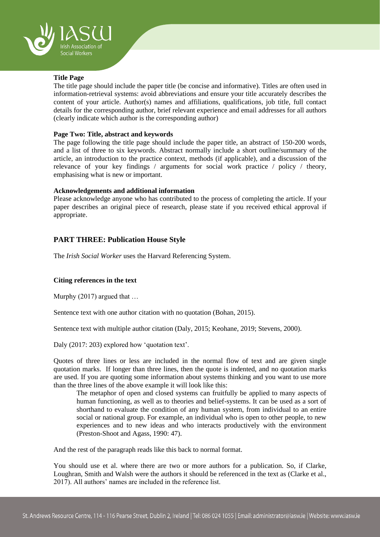

# **Title Page**

The title page should include the paper title (be concise and informative). Titles are often used in information-retrieval systems: avoid abbreviations and ensure your title accurately describes the content of your article. Author(s) names and affiliations, qualifications, job title, full contact details for the corresponding author, brief relevant experience and email addresses for all authors (clearly indicate which author is the corresponding author)

### **Page Two: Title, abstract and keywords**

The page following the title page should include the paper title, an abstract of 150-200 words, and a list of three to six keywords. Abstract normally include a short outline/summary of the article, an introduction to the practice context, methods (if applicable), and a discussion of the relevance of your key findings / arguments for social work practice / policy / theory, emphasising what is new or important.

### **Acknowledgements and additional information**

Please acknowledge anyone who has contributed to the process of completing the article. If your paper describes an original piece of research, please state if you received ethical approval if appropriate.

# **PART THREE: Publication House Style**

The *Irish Social Worker* uses the Harvard Referencing System.

# **Citing references in the text**

Murphy (2017) argued that …

Sentence text with one author citation with no quotation (Bohan, 2015).

Sentence text with multiple author citation (Daly, 2015; Keohane, 2019; Stevens, 2000).

Daly (2017: 203) explored how 'quotation text'.

Quotes of three lines or less are included in the normal flow of text and are given single quotation marks. If longer than three lines, then the quote is indented, and no quotation marks are used. If you are quoting some information about systems thinking and you want to use more than the three lines of the above example it will look like this:

The metaphor of open and closed systems can fruitfully be applied to many aspects of human functioning, as well as to theories and belief-systems. It can be used as a sort of shorthand to evaluate the condition of any human system, from individual to an entire social or national group. For example, an individual who is open to other people, to new experiences and to new ideas and who interacts productively with the environment (Preston-Shoot and Agass, 1990: 47).

And the rest of the paragraph reads like this back to normal format.

You should use et al. where there are two or more authors for a publication. So, if Clarke, Loughran, Smith and Walsh were the authors it should be referenced in the text as (Clarke et al., 2017). All authors' names are included in the reference list.